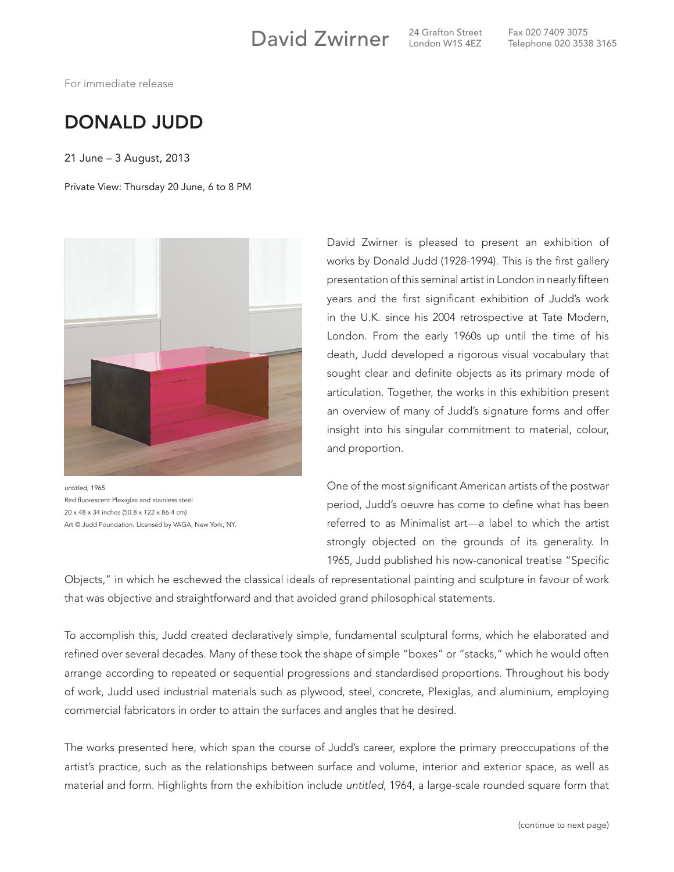David Zwirner <sup>24 Grafton Street</sup>

London W1S 4EZ

Fax 020 7409 3075 Telephone 020 3538 3165

For immediate release

## DONALD JUDD

21 June – 3 August, 2013

Private View: Thursday 20 June, 6 to 8 PM



*untitled*, 1965 Red fluorescent Plexiglas and stainless steel 20 x 48 x 34 inches (50.8 x 122 x 86.4 cm) Art © Judd Foundation. Licensed by VAGA, New York, NY.

David Zwirner is pleased to present an exhibition of works by Donald Judd (1928-1994). This is the first gallery presentation of this seminal artist in London in nearly fifteen years and the first significant exhibition of Judd's work in the U.K. since his 2004 retrospective at Tate Modern, London. From the early 1960s up until the time of his death, Judd developed a rigorous visual vocabulary that sought clear and definite objects as its primary mode of articulation. Together, the works in this exhibition present an overview of many of Judd's signature forms and offer insight into his singular commitment to material, colour, and proportion.

One of the most significant American artists of the postwar period, Judd's oeuvre has come to define what has been referred to as Minimalist art—a label to which the artist strongly objected on the grounds of its generality. In 1965, Judd published his now-canonical treatise "Specific

Objects," in which he eschewed the classical ideals of representational painting and sculpture in favour of work that was objective and straightforward and that avoided grand philosophical statements.

To accomplish this, Judd created declaratively simple, fundamental sculptural forms, which he elaborated and refined over several decades. Many of these took the shape of simple "boxes" or "stacks," which he would often arrange according to repeated or sequential progressions and standardised proportions. Throughout his body of work, Judd used industrial materials such as plywood, steel, concrete, Plexiglas, and aluminium, employing commercial fabricators in order to attain the surfaces and angles that he desired.

The works presented here, which span the course of Judd's career, explore the primary preoccupations of the artist's practice, such as the relationships between surface and volume, interior and exterior space, as well as material and form. Highlights from the exhibition include *untitled*, 1964, a large-scale rounded square form that